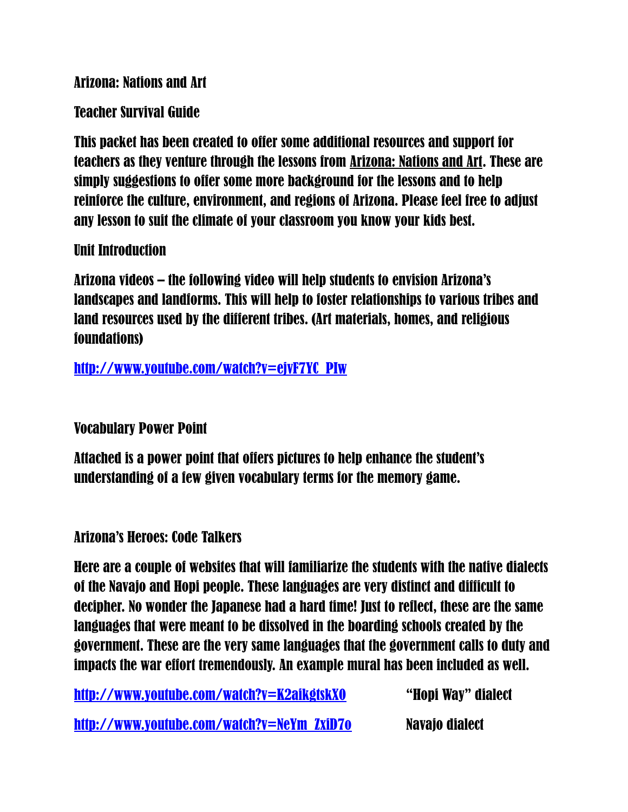Arizona: Nations and Art

Teacher Survival Guide

This packet has been created to offer some additional resources and support for teachers as they venture through the lessons from Arizona: Nations and Art. These are simply suggestions to offer some more background for the lessons and to help reinforce the culture, environment, and regions of Arizona. Please feel free to adjust any lesson to suit the climate of your classroom you know your kids best.

Unit Introduction

Arizona videos – the following video will help students to envision Arizona's landscapes and landforms. This will help to foster relationships to various tribes and land resources used by the different tribes. (Art materials, homes, and religious foundations)

[http://www.youtube.com/watch?v=ejvF7YC\\_PIw](http://www.youtube.com/watch?v=ejvF7YC_PIw)

Vocabulary Power Point

Attached is a power point that offers pictures to help enhance the student's understanding of a few given vocabulary terms for the memory game.

Arizona's Heroes: Code Talkers

Here are a couple of websites that will familiarize the students with the native dialects of the Navajo and Hopi people. These languages are very distinct and difficult to decipher. No wonder the Japanese had a hard time! Just to reflect, these are the same languages that were meant to be dissolved in the boarding schools created by the government. These are the very same languages that the government calls to duty and impacts the war effort tremendously. An example mural has been included as well.

| http://www.youtube.com/watch?v=K2aikgtskX0 | "Hopi Way" dialect |
|--------------------------------------------|--------------------|
| http://www.youtube.com/watch?v=NeYm_ZxiD70 | Navaio dialect     |